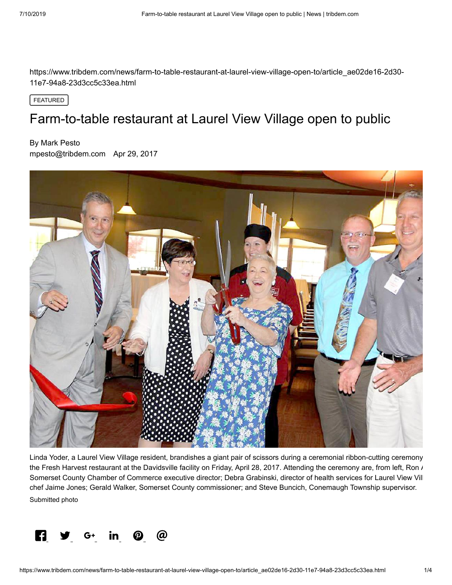https://www.tribdem.com/news/farm-to-table-restaurant-at-laurel-view-village-open-to/article\_ae02de16-2d30- 11e7-94a8-23d3cc5c33ea.html

FEATURED

# Farm-to-table restaurant at Laurel View Village open to public

### By Mark Pesto

[mpesto@tribdem.com](https://www.tribdem.com/users/profile/Mark%20Pesto) Apr 29, 2017



Linda Yoder, a Laurel View Village resident, brandishes a giant pair of scissors during a ceremonial ribbon-cutting ceremony the Fresh Harvest restaurant at the Davidsville facility on Friday, April 28, 2017. Attending the ceremony are, from left, Ron / Somerset County Chamber of Commerce executive director; Debra Grabinski, director of health services for Laurel View Vill chef Jaime Jones; Gerald Walker, Somerset County commissioner; and Steve Buncich, Conemaugh Township supervisor. Submitted photo

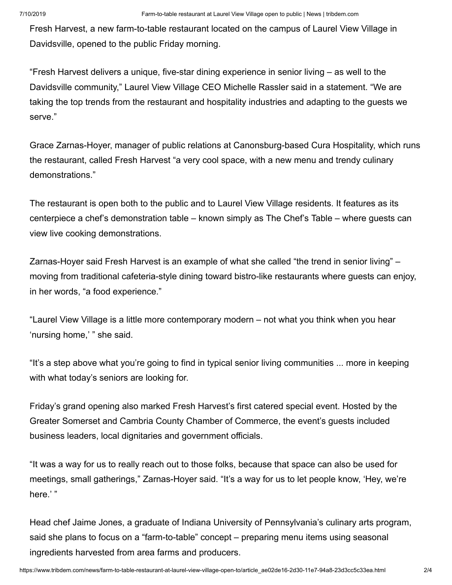Fresh Harvest, a new farm-to-table restaurant located on the campus of Laurel View Village in Davidsville, opened to the public Friday morning.

"Fresh Harvest delivers a unique, five-star dining experience in senior living – as well to the Davidsville community," Laurel View Village CEO Michelle Rassler said in a statement. "We are taking the top trends from the restaurant and hospitality industries and adapting to the guests we serve."

Grace Zarnas-Hoyer, manager of public relations at Canonsburg-based Cura Hospitality, which runs the restaurant, called Fresh Harvest "a very cool space, with a new menu and trendy culinary demonstrations."

The restaurant is open both to the public and to Laurel View Village residents. It features as its centerpiece a chef's demonstration table – known simply as The Chef's Table – where guests can view live cooking demonstrations.

Zarnas-Hoyer said Fresh Harvest is an example of what she called "the trend in senior living" – moving from traditional cafeteria-style dining toward bistro-like restaurants where guests can enjoy, in her words, "a food experience."

"Laurel View Village is a little more contemporary modern – not what you think when you hear 'nursing home,' " she said.

"It's a step above what you're going to find in typical senior living communities ... more in keeping with what today's seniors are looking for.

Friday's grand opening also marked Fresh Harvest's first catered special event. Hosted by the Greater Somerset and Cambria County Chamber of Commerce, the event's guests included business leaders, local dignitaries and government officials.

"It was a way for us to really reach out to those folks, because that space can also be used for meetings, small gatherings," Zarnas-Hoyer said. "It's a way for us to let people know, 'Hey, we're here.' "

Head chef Jaime Jones, a graduate of Indiana University of Pennsylvania's culinary arts program, said she plans to focus on a "farm-to-table" concept – preparing menu items using seasonal ingredients harvested from area farms and producers.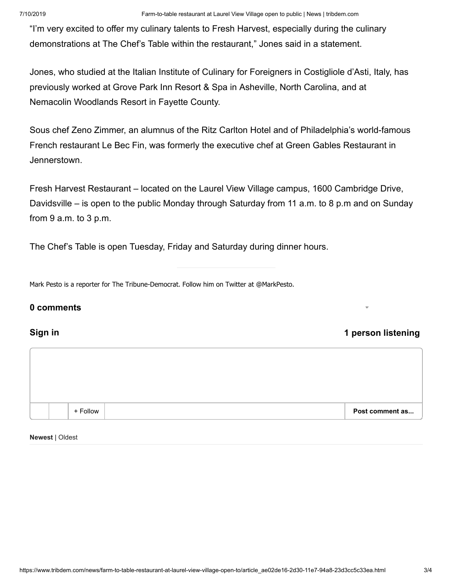"I'm very excited to offer my culinary talents to Fresh Harvest, especially during the culinary demonstrations at The Chef's Table within the restaurant," Jones said in a statement.

Jones, who studied at the Italian Institute of Culinary for Foreigners in Costigliole d'Asti, Italy, has previously worked at Grove Park Inn Resort & Spa in Asheville, North Carolina, and at Nemacolin Woodlands Resort in Fayette County.

Sous chef Zeno Zimmer, an alumnus of the Ritz Carlton Hotel and of Philadelphia's world-famous French restaurant Le Bec Fin, was formerly the executive chef at Green Gables Restaurant in Jennerstown.

Fresh Harvest Restaurant – located on the Laurel View Village campus, 1600 Cambridge Drive, Davidsville – is open to the public Monday through Saturday from 11 a.m. to 8 p.m and on Sunday from 9 a.m. to 3 p.m.

The Chef's Table is open Tuesday, Friday and Saturday during dinner hours.

Mark Pesto is a reporter for The Tribune-Democrat. Follow him on Twitter at @MarkPesto.

### **0 comments**

### **Sign in 1 person listening**



**Newest** | Oldest